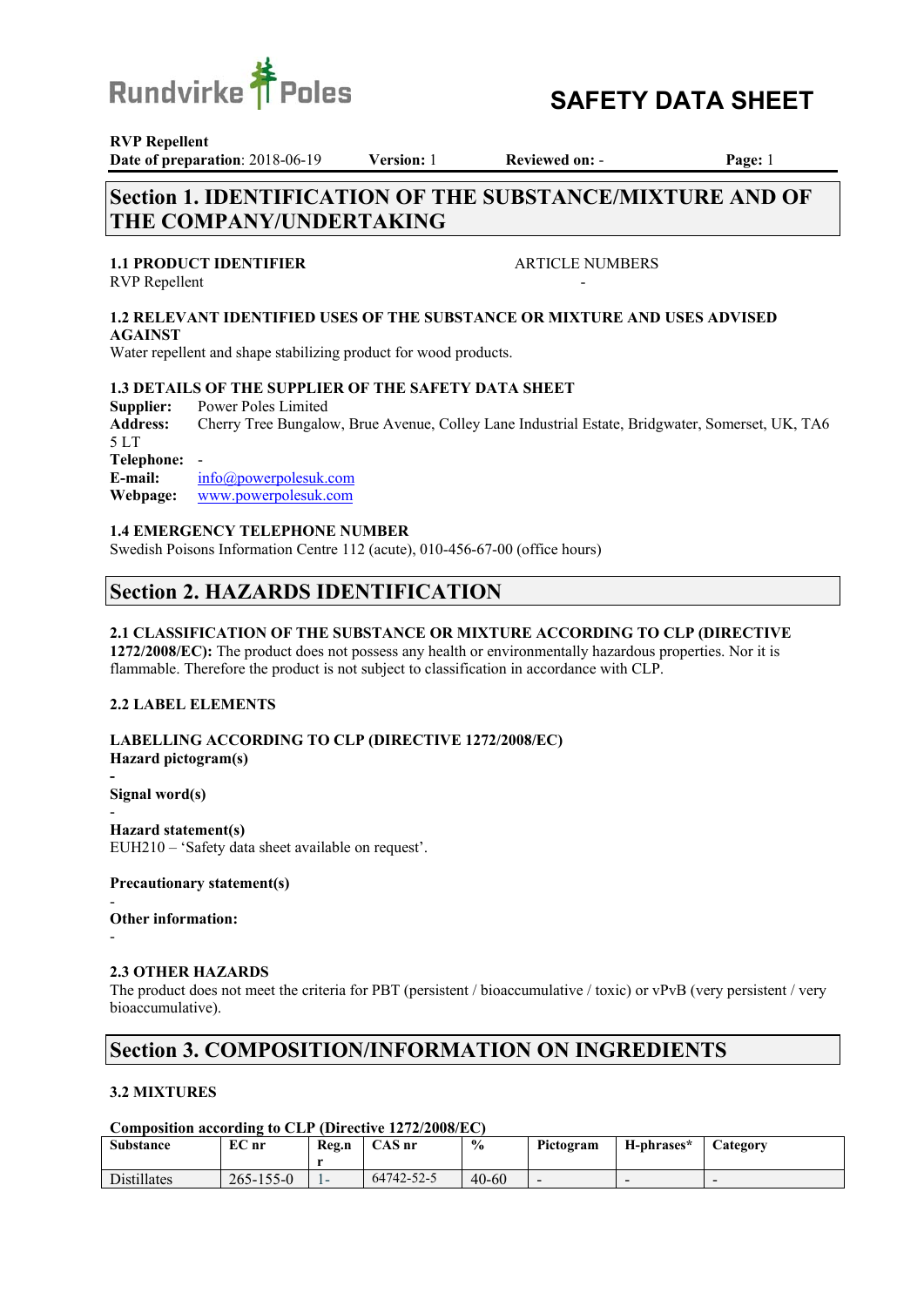

# **Poles** SAFETY DATA SHEET

**RVP Repellent** 

**Date of preparation**: 2018-06-19 **Version:** 1 **Reviewed on:** - **Page:** 1

# **Section 1. IDENTIFICATION OF THE SUBSTANCE/MIXTURE AND OF THE COMPANY/UNDERTAKING**

### **1.1 PRODUCT IDENTIFIER ARTICLE NUMBERS**

RVP Repellent

#### **1.2 RELEVANT IDENTIFIED USES OF THE SUBSTANCE OR MIXTURE AND USES ADVISED AGAINST**

Water repellent and shape stabilizing product for wood products.

### **1.3 DETAILS OF THE SUPPLIER OF THE SAFETY DATA SHEET**

**Supplier:** Power Poles Limited **Address:** Cherry Tree Bungalow, Brue Avenue, Colley Lane Industrial Estate, Bridgwater, Somerset, UK, TA6 5 LT **Telephone:** - **E-mail:** info@powerpolesuk.com **Webpage:** www.powerpolesuk.com

#### **1.4 EMERGENCY TELEPHONE NUMBER**

Swedish Poisons Information Centre 112 (acute), 010-456-67-00 (office hours)

# **Section 2. HAZARDS IDENTIFICATION**

#### **2.1 CLASSIFICATION OF THE SUBSTANCE OR MIXTURE ACCORDING TO CLP (DIRECTIVE**

**1272/2008/EC):** The product does not possess any health or environmentally hazardous properties. Nor it is flammable. Therefore the product is not subject to classification in accordance with CLP.

#### **2.2 LABEL ELEMENTS**

**LABELLING ACCORDING TO CLP (DIRECTIVE 1272/2008/EC) Hazard pictogram(s)** 

**Signal word(s)** 

- **Hazard statement(s)** EUH210 – 'Safety data sheet available on request'.

#### **Precautionary statement(s)**

#### - **Other information:**

-

**-** 

### **2.3 OTHER HAZARDS**

The product does not meet the criteria for PBT (persistent / bioaccumulative / toxic) or vPvB (very persistent / very bioaccumulative).

# **Section 3. COMPOSITION/INFORMATION ON INGREDIENTS**

### **3.2 MIXTURES**

#### **Composition according to CLP (Directive 1272/2008/EC)**

| <b>Substance</b> | $EC$ nr         | Reg.n | CAS nr     | $\frac{6}{10}$ | Pictogram | H-phrases* | <b>Category</b> |
|------------------|-----------------|-------|------------|----------------|-----------|------------|-----------------|
| Distillates      | $265 - 155 - 0$ | -     | 64742-52-5 | $40 - 60$      | -         |            | -               |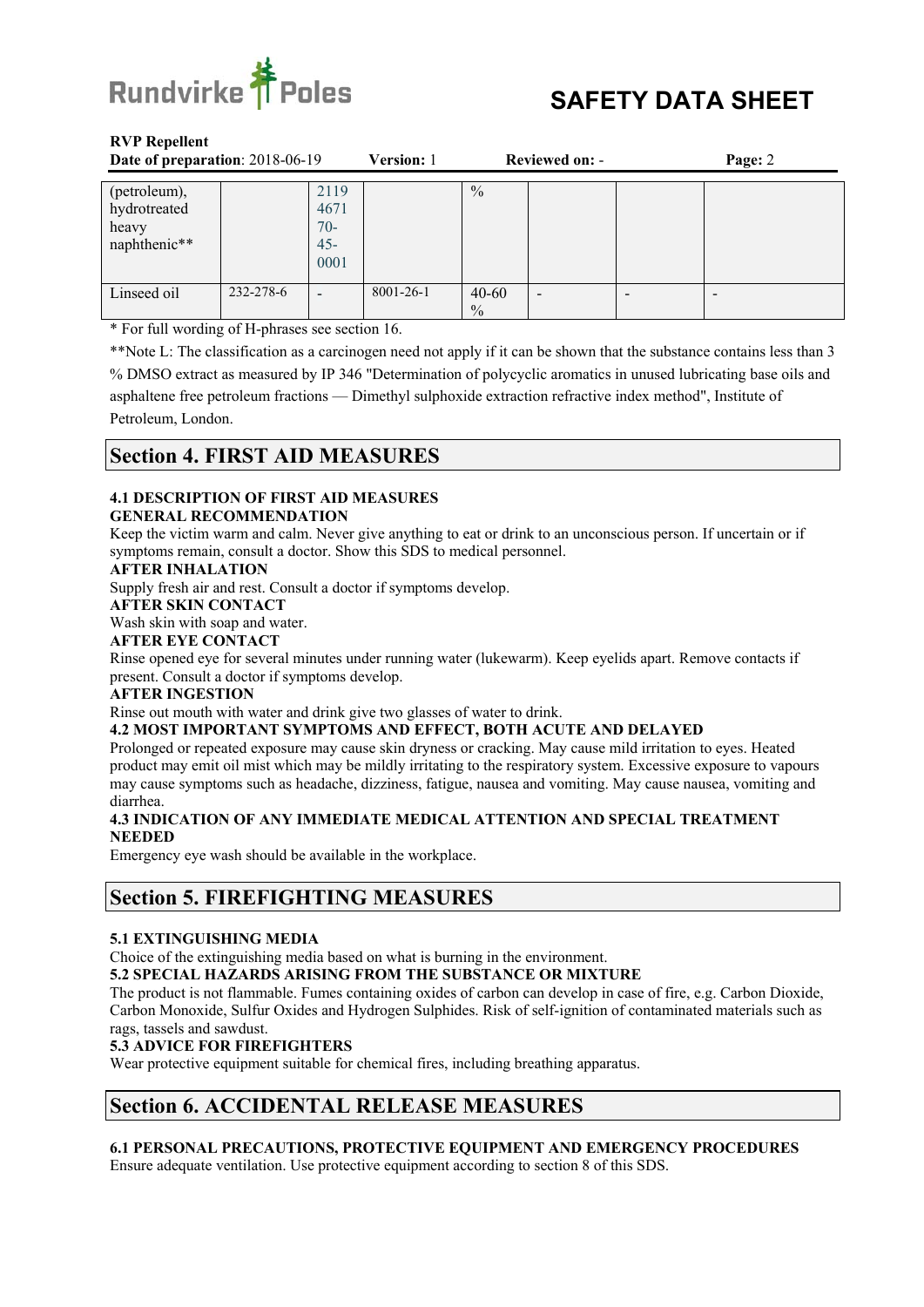

| Date of preparation: 2018-06-19                       |           | Version: 1                              | <b>Reviewed on: -</b> |                            | Page: 2 |  |  |
|-------------------------------------------------------|-----------|-----------------------------------------|-----------------------|----------------------------|---------|--|--|
| (petroleum),<br>hydrotreated<br>heavy<br>naphthenic** |           | 2119<br>4671<br>$70-$<br>$45 -$<br>0001 |                       | $\frac{0}{0}$              |         |  |  |
| Linseed oil                                           | 232-278-6 |                                         | 8001-26-1             | $40 - 60$<br>$\frac{0}{0}$ | -       |  |  |

\* For full wording of H-phrases see section 16.

\*\*Note L: The classification as a carcinogen need not apply if it can be shown that the substance contains less than 3 % DMSO extract as measured by IP 346 "Determination of polycyclic aromatics in unused lubricating base oils and asphaltene free petroleum fractions — Dimethyl sulphoxide extraction refractive index method", Institute of Petroleum, London.

# **Section 4. FIRST AID MEASURES**

# **4.1 DESCRIPTION OF FIRST AID MEASURES**

#### **GENERAL RECOMMENDATION**

Keep the victim warm and calm. Never give anything to eat or drink to an unconscious person. If uncertain or if symptoms remain, consult a doctor. Show this SDS to medical personnel.

#### **AFTER INHALATION**

Supply fresh air and rest. Consult a doctor if symptoms develop.

#### **AFTER SKIN CONTACT**

#### Wash skin with soap and water.

**AFTER EYE CONTACT** 

Rinse opened eye for several minutes under running water (lukewarm). Keep eyelids apart. Remove contacts if present. Consult a doctor if symptoms develop.

#### **AFTER INGESTION**

Rinse out mouth with water and drink give two glasses of water to drink.

#### **4.2 MOST IMPORTANT SYMPTOMS AND EFFECT, BOTH ACUTE AND DELAYED**

Prolonged or repeated exposure may cause skin dryness or cracking. May cause mild irritation to eyes. Heated product may emit oil mist which may be mildly irritating to the respiratory system. Excessive exposure to vapours may cause symptoms such as headache, dizziness, fatigue, nausea and vomiting. May cause nausea, vomiting and diarrhea.

#### **4.3 INDICATION OF ANY IMMEDIATE MEDICAL ATTENTION AND SPECIAL TREATMENT NEEDED**

Emergency eye wash should be available in the workplace.

# **Section 5. FIREFIGHTING MEASURES**

#### **5.1 EXTINGUISHING MEDIA**

Choice of the extinguishing media based on what is burning in the environment.

**5.2 SPECIAL HAZARDS ARISING FROM THE SUBSTANCE OR MIXTURE** 

The product is not flammable. Fumes containing oxides of carbon can develop in case of fire, e.g. Carbon Dioxide, Carbon Monoxide, Sulfur Oxides and Hydrogen Sulphides. Risk of self-ignition of contaminated materials such as rags, tassels and sawdust.

### **5.3 ADVICE FOR FIREFIGHTERS**

Wear protective equipment suitable for chemical fires, including breathing apparatus.

# **Section 6. ACCIDENTAL RELEASE MEASURES**

#### **6.1 PERSONAL PRECAUTIONS, PROTECTIVE EQUIPMENT AND EMERGENCY PROCEDURES**  Ensure adequate ventilation. Use protective equipment according to section 8 of this SDS.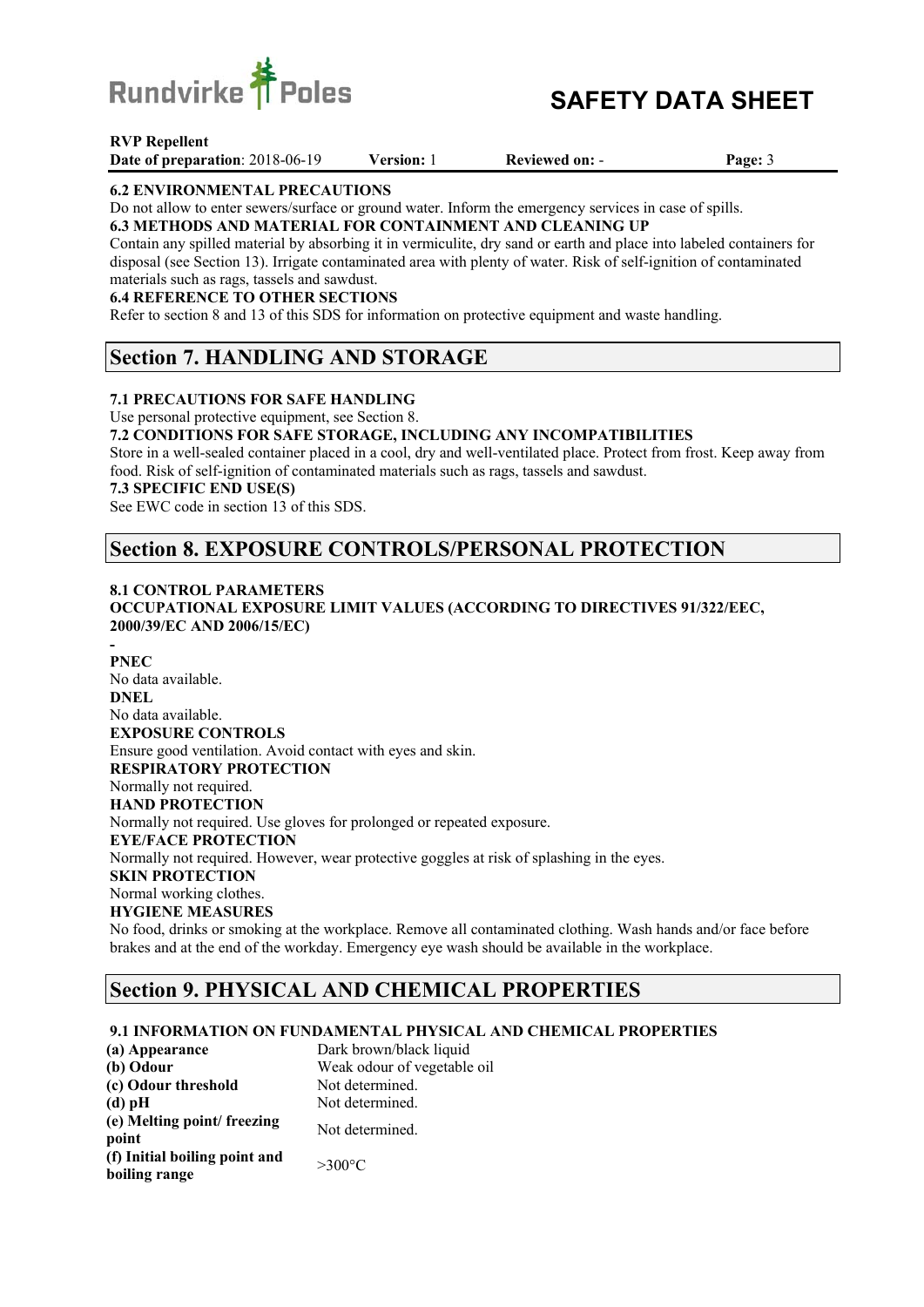

# **TPoles** SAFETY DATA SHEET

#### **RVP Repellent**

**Date of preparation**: 2018-06-19 **Version:** 1 **Reviewed on:** - **Page:** 3

#### **6.2 ENVIRONMENTAL PRECAUTIONS**

Do not allow to enter sewers/surface or ground water. Inform the emergency services in case of spills.

**6.3 METHODS AND MATERIAL FOR CONTAINMENT AND CLEANING UP** Contain any spilled material by absorbing it in vermiculite, dry sand or earth and place into labeled containers for

disposal (see Section 13). Irrigate contaminated area with plenty of water. Risk of self-ignition of contaminated materials such as rags, tassels and sawdust.

### **6.4 REFERENCE TO OTHER SECTIONS**

Refer to section 8 and 13 of this SDS for information on protective equipment and waste handling.

# **Section 7. HANDLING AND STORAGE**

#### **7.1 PRECAUTIONS FOR SAFE HANDLING**

Use personal protective equipment, see Section 8.

#### **7.2 CONDITIONS FOR SAFE STORAGE, INCLUDING ANY INCOMPATIBILITIES**

Store in a well-sealed container placed in a cool, dry and well-ventilated place. Protect from frost. Keep away from food. Risk of self-ignition of contaminated materials such as rags, tassels and sawdust.

#### **7.3 SPECIFIC END USE(S)**

See EWC code in section 13 of this SDS.

# **Section 8. EXPOSURE CONTROLS/PERSONAL PROTECTION**

### **8.1 CONTROL PARAMETERS**

**OCCUPATIONAL EXPOSURE LIMIT VALUES (ACCORDING TO DIRECTIVES 91/322/EEC, 2000/39/EC AND 2006/15/EC)** 

#### **- PNEC**

No data available. **DNEL**  No data available. **EXPOSURE CONTROLS**  Ensure good ventilation. Avoid contact with eyes and skin. **RESPIRATORY PROTECTION**  Normally not required. **HAND PROTECTION**  Normally not required. Use gloves for prolonged or repeated exposure. **EYE/FACE PROTECTION**  Normally not required. However, wear protective goggles at risk of splashing in the eyes. **SKIN PROTECTION**  Normal working clothes. **HYGIENE MEASURES**  No food, drinks or smoking at the workplace. Remove all contaminated clothing. Wash hands and/or face before brakes and at the end of the workday. Emergency eye wash should be available in the workplace.

# **Section 9. PHYSICAL AND CHEMICAL PROPERTIES**

### **9.1 INFORMATION ON FUNDAMENTAL PHYSICAL AND CHEMICAL PROPERTIES**

| (a) Appearance                                 | Dark brown/black liquid     |  |  |
|------------------------------------------------|-----------------------------|--|--|
| (b) Odour                                      | Weak odour of vegetable oil |  |  |
| (c) Odour threshold                            | Not determined.             |  |  |
| $(d)$ pH                                       | Not determined.             |  |  |
| (e) Melting point/freezing<br>point            | Not determined.             |  |  |
| (f) Initial boiling point and<br>boiling range | $>300^{\circ}$ C            |  |  |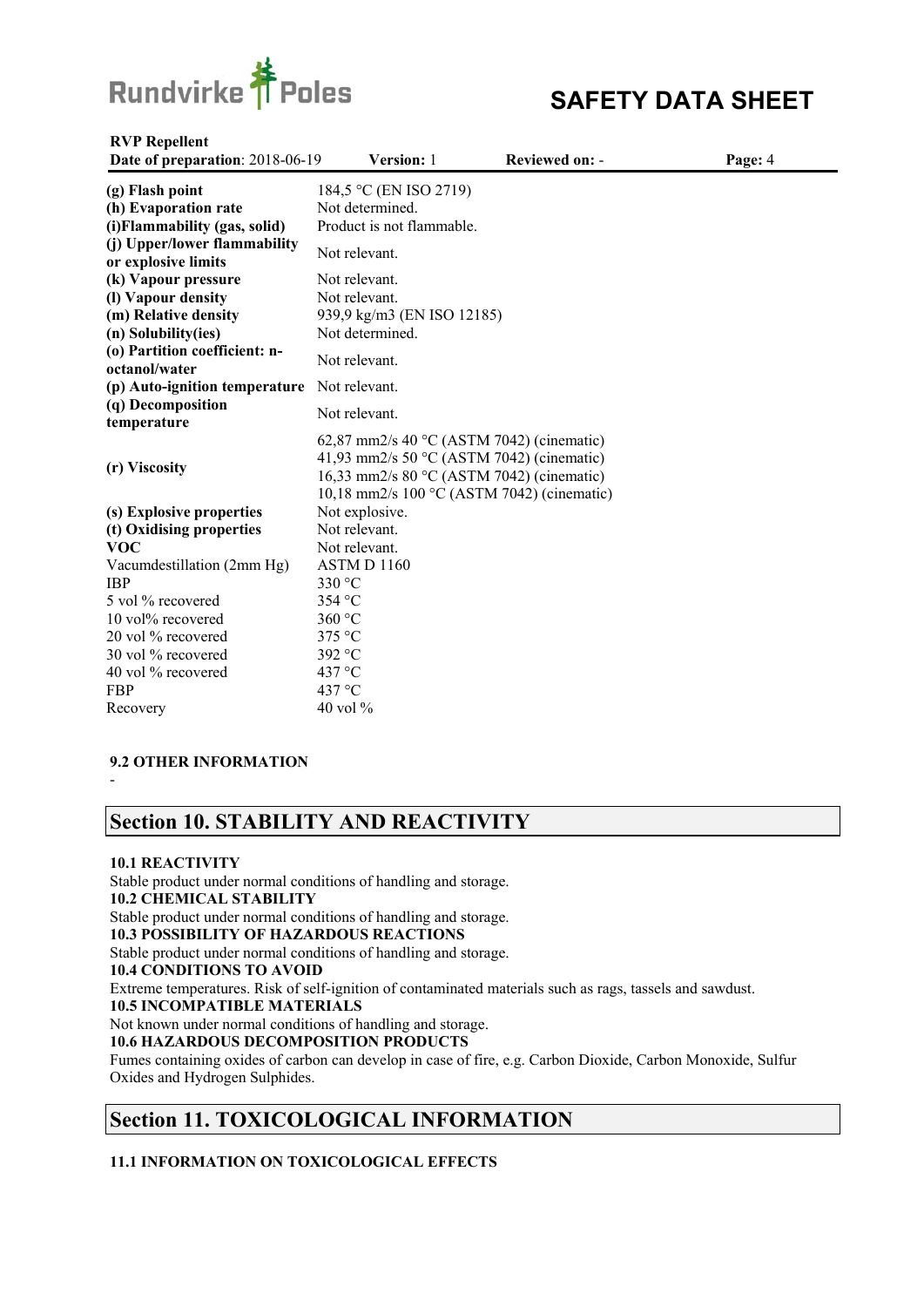

| <b>RVP Repellent</b><br>Date of preparation: 2018-06-19                  | Version: 1                                                                                                                                                                                          | <b>Reviewed on: -</b> | Page: 4 |
|--------------------------------------------------------------------------|-----------------------------------------------------------------------------------------------------------------------------------------------------------------------------------------------------|-----------------------|---------|
| (g) Flash point<br>(h) Evaporation rate<br>(i) Flammability (gas, solid) | 184,5 °C (EN ISO 2719)<br>Not determined.<br>Product is not flammable.                                                                                                                              |                       |         |
| (j) Upper/lower flammability<br>or explosive limits                      | Not relevant.                                                                                                                                                                                       |                       |         |
| (k) Vapour pressure<br>(I) Vapour density                                | Not relevant.<br>Not relevant.                                                                                                                                                                      |                       |         |
| (m) Relative density<br>(n) Solubility(ies)                              | 939,9 kg/m3 (EN ISO 12185)<br>Not determined.                                                                                                                                                       |                       |         |
| (o) Partition coefficient: n-<br>octanol/water                           | Not relevant.                                                                                                                                                                                       |                       |         |
| (p) Auto-ignition temperature Not relevant.                              |                                                                                                                                                                                                     |                       |         |
| (q) Decomposition<br>temperature                                         | Not relevant.                                                                                                                                                                                       |                       |         |
| (r) Viscosity                                                            | 62,87 mm2/s 40 $\degree$ C (ASTM 7042) (cinematic)<br>41,93 mm2/s 50 $\degree$ C (ASTM 7042) (cinematic)<br>16,33 mm2/s 80 °C (ASTM 7042) (cinematic)<br>10,18 mm2/s 100 °C (ASTM 7042) (cinematic) |                       |         |
| (s) Explosive properties                                                 | Not explosive.                                                                                                                                                                                      |                       |         |
| (t) Oxidising properties                                                 | Not relevant.                                                                                                                                                                                       |                       |         |
| <b>VOC</b>                                                               | Not relevant.                                                                                                                                                                                       |                       |         |
| Vacumdestillation (2mm Hg)                                               | ASTMD 1160                                                                                                                                                                                          |                       |         |
| <b>IBP</b>                                                               | 330 °C                                                                                                                                                                                              |                       |         |
| 5 vol % recovered                                                        | 354 °C                                                                                                                                                                                              |                       |         |
| 10 vol% recovered                                                        | 360 °C                                                                                                                                                                                              |                       |         |
| 20 vol % recovered                                                       | 375 °C                                                                                                                                                                                              |                       |         |
| 30 vol % recovered                                                       | 392 °C                                                                                                                                                                                              |                       |         |
| 40 vol % recovered                                                       | 437 °C                                                                                                                                                                                              |                       |         |
| <b>FBP</b>                                                               | 437 °C                                                                                                                                                                                              |                       |         |
| Recovery                                                                 | $40$ vol $\%$                                                                                                                                                                                       |                       |         |

#### **9.2 OTHER INFORMATION**

-

# **Section 10. STABILITY AND REACTIVITY**

#### **10.1 REACTIVITY**

Stable product under normal conditions of handling and storage. **10.2 CHEMICAL STABILITY**  Stable product under normal conditions of handling and storage. **10.3 POSSIBILITY OF HAZARDOUS REACTIONS**  Stable product under normal conditions of handling and storage. **10.4 CONDITIONS TO AVOID**  Extreme temperatures. Risk of self-ignition of contaminated materials such as rags, tassels and sawdust. **10.5 INCOMPATIBLE MATERIALS**  Not known under normal conditions of handling and storage. **10.6 HAZARDOUS DECOMPOSITION PRODUCTS**  Fumes containing oxides of carbon can develop in case of fire, e.g. Carbon Dioxide, Carbon Monoxide, Sulfur Oxides and Hydrogen Sulphides.

# **Section 11. TOXICOLOGICAL INFORMATION**

### **11.1 INFORMATION ON TOXICOLOGICAL EFFECTS**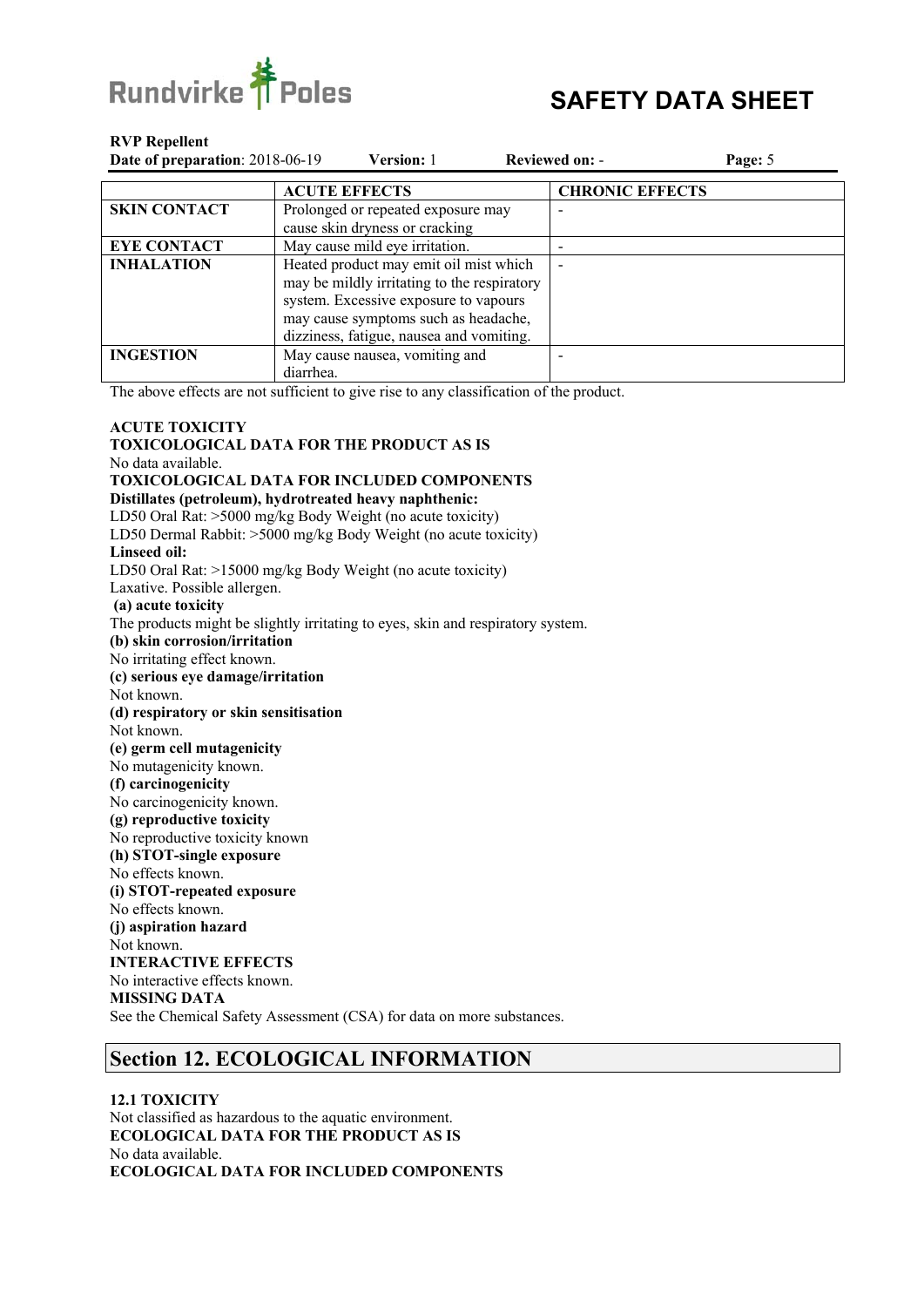

| Date of preparation: 2018-06-19 | <b>Version:</b> 1                           | <b>Reviewed on: -</b>  | Page: 5 |
|---------------------------------|---------------------------------------------|------------------------|---------|
|                                 | <b>ACUTE EFFECTS</b>                        | <b>CHRONIC EFFECTS</b> |         |
| <b>SKIN CONTACT</b>             | Prolonged or repeated exposure may          |                        |         |
|                                 | cause skin dryness or cracking              |                        |         |
| <b>EYE CONTACT</b>              | May cause mild eye irritation.              |                        |         |
| <b>INHALATION</b>               | Heated product may emit oil mist which      |                        |         |
|                                 | may be mildly irritating to the respiratory |                        |         |
|                                 | system. Excessive exposure to vapours       |                        |         |
|                                 | may cause symptoms such as headache,        |                        |         |
|                                 | dizziness, fatigue, nausea and vomiting.    |                        |         |
| <b>INGESTION</b>                | May cause nausea, vomiting and              |                        |         |
|                                 | diarrhea.                                   |                        |         |

The above effects are not sufficient to give rise to any classification of the product.

#### **ACUTE TOXICITY TOXICOLOGICAL DATA FOR THE PRODUCT AS IS**  No data available. **TOXICOLOGICAL DATA FOR INCLUDED COMPONENTS Distillates (petroleum), hydrotreated heavy naphthenic:**  LD50 Oral Rat: >5000 mg/kg Body Weight (no acute toxicity) LD50 Dermal Rabbit: >5000 mg/kg Body Weight (no acute toxicity) **Linseed oil:**  LD50 Oral Rat: >15000 mg/kg Body Weight (no acute toxicity) Laxative. Possible allergen.  **(a) acute toxicity**  The products might be slightly irritating to eyes, skin and respiratory system. **(b) skin corrosion/irritation**  No irritating effect known. **(c) serious eye damage/irritation**  Not known. **(d) respiratory or skin sensitisation**  Not known. **(e) germ cell mutagenicity**  No mutagenicity known. **(f) carcinogenicity**  No carcinogenicity known. **(g) reproductive toxicity**  No reproductive toxicity known **(h) STOT-single exposure**  No effects known. **(i) STOT-repeated exposure**  No effects known. **(j) aspiration hazard**  Not known. **INTERACTIVE EFFECTS**  No interactive effects known. **MISSING DATA**  See the Chemical Safety Assessment (CSA) for data on more substances.

# **Section 12. ECOLOGICAL INFORMATION**

**12.1 TOXICITY**  Not classified as hazardous to the aquatic environment. **ECOLOGICAL DATA FOR THE PRODUCT AS IS**  No data available. **ECOLOGICAL DATA FOR INCLUDED COMPONENTS**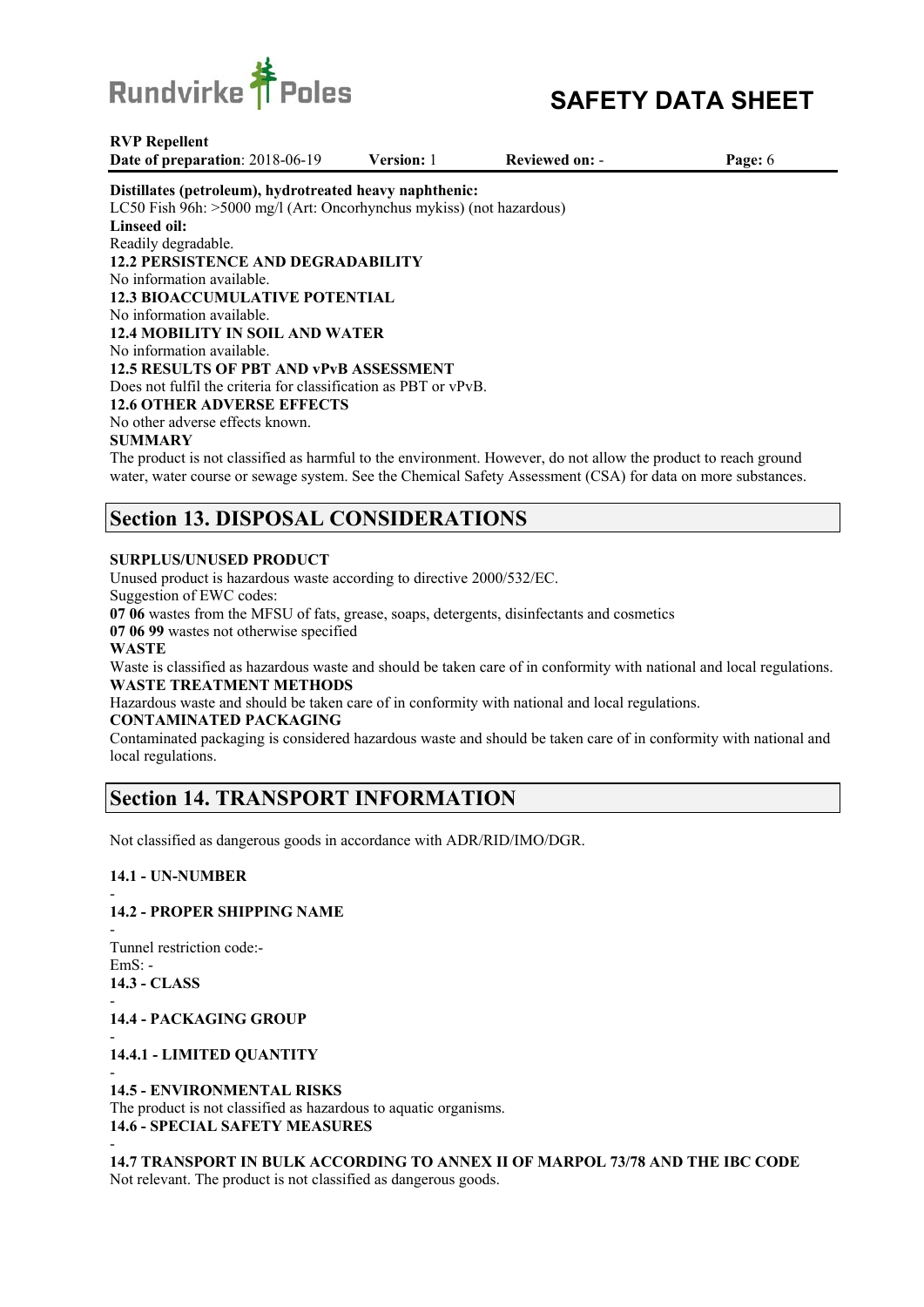

**Date of preparation**: 2018-06-19 **Version:** 1 **Reviewed on:** - **Page:** 6

#### **Distillates (petroleum), hydrotreated heavy naphthenic:**

LC50 Fish 96h: >5000 mg/l (Art: Oncorhynchus mykiss) (not hazardous) **Linseed oil:**  Readily degradable. **12.2 PERSISTENCE AND DEGRADABILITY**  No information available. **12.3 BIOACCUMULATIVE POTENTIAL**  No information available. **12.4 MOBILITY IN SOIL AND WATER**  No information available. **12.5 RESULTS OF PBT AND vPvB ASSESSMENT**  Does not fulfil the criteria for classification as PBT or vPvB. **12.6 OTHER ADVERSE EFFECTS**  No other adverse effects known.

#### **SUMMARY**

The product is not classified as harmful to the environment. However, do not allow the product to reach ground water, water course or sewage system. See the Chemical Safety Assessment (CSA) for data on more substances.

# **Section 13. DISPOSAL CONSIDERATIONS**

#### **SURPLUS/UNUSED PRODUCT**

Unused product is hazardous waste according to directive 2000/532/EC.

Suggestion of EWC codes:

**07 06** wastes from the MFSU of fats, grease, soaps, detergents, disinfectants and cosmetics

**07 06 99** wastes not otherwise specified

#### **WASTE**

Waste is classified as hazardous waste and should be taken care of in conformity with national and local regulations. **WASTE TREATMENT METHODS**

Hazardous waste and should be taken care of in conformity with national and local regulations.

### **CONTAMINATED PACKAGING**

Contaminated packaging is considered hazardous waste and should be taken care of in conformity with national and local regulations.

## **Section 14. TRANSPORT INFORMATION**

Not classified as dangerous goods in accordance with ADR/RID/IMO/DGR.

#### **14.1 - UN-NUMBER**

#### - **14.2 - PROPER SHIPPING NAME**

- Tunnel restriction code:-  $EmS$ : -**14.3 - CLASS** 

-

-

### **14.4 - PACKAGING GROUP**

- **14.4.1 - LIMITED QUANTITY** 

#### - **14.5 - ENVIRONMENTAL RISKS**

The product is not classified as hazardous to aquatic organisms. **14.6 - SPECIAL SAFETY MEASURES** 

**14.7 TRANSPORT IN BULK ACCORDING TO ANNEX II OF MARPOL 73/78 AND THE IBC CODE**  Not relevant. The product is not classified as dangerous goods.